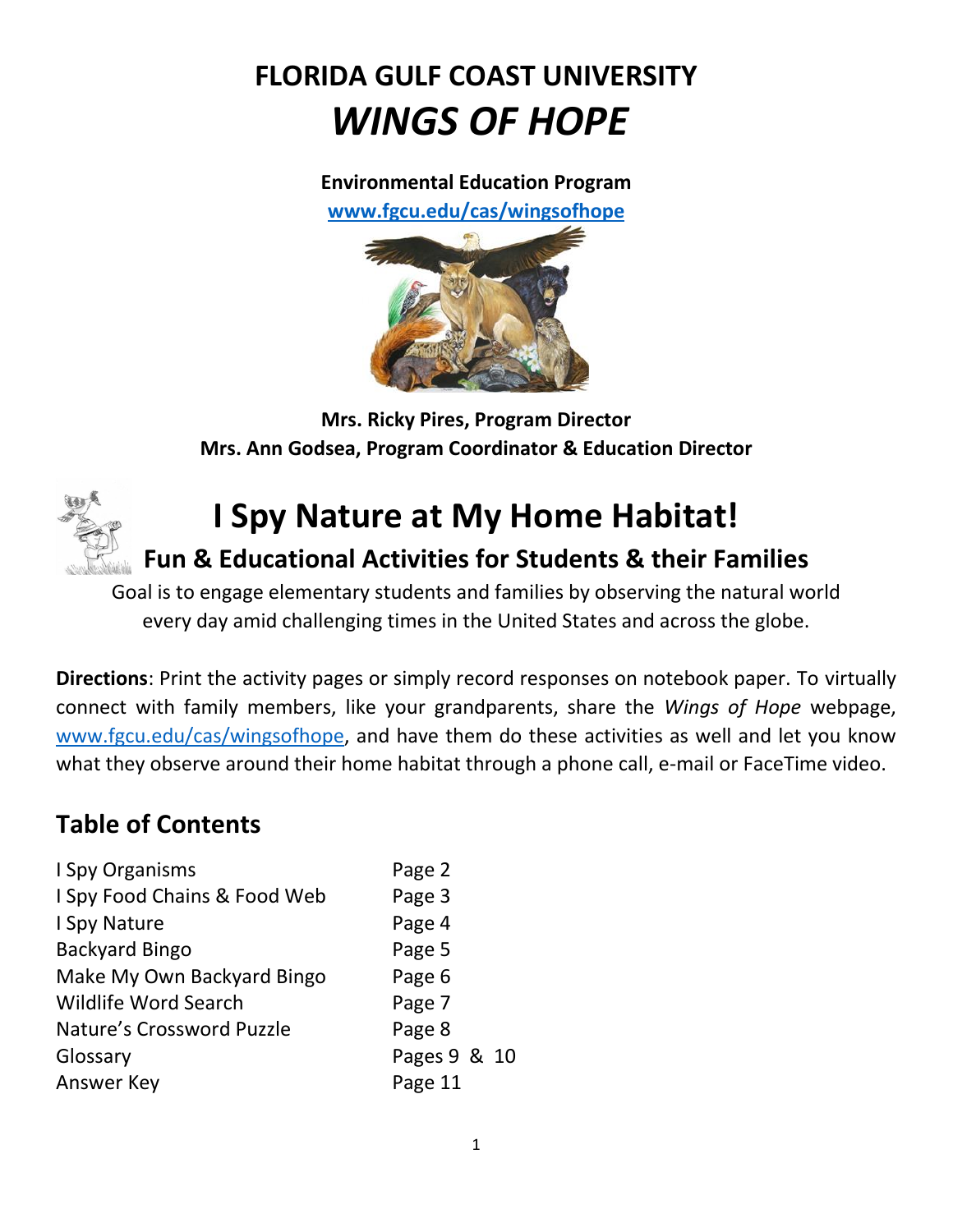**Environmental Education Program [www.fgcu.edu/cas/wingsofhope](http://www.fgcu.edu/cas/wingsofhope)**



**Mrs. Ricky Pires, Program Director Mrs. Ann Godsea, Program Coordinator & Education Director**



# **I Spy Nature at My Home Habitat!**

# **Fun & Educational Activities for Students & their Families**

Goal is to engage elementary students and families by observing the natural world every day amid challenging times in the United States and across the globe.

**Directions**: Print the activity pages or simply record responses on notebook paper. To virtually connect with family members, like your grandparents, share the *Wings of Hope* webpage, [www.fgcu.edu/cas/wingsofhope,](http://www.fgcu.edu/cas/wingsofhope) and have them do these activities as well and let you know what they observe around their home habitat through a phone call, e-mail or FaceTime video.

# **Table of Contents**

| I Spy Organisms              | Page 2       |
|------------------------------|--------------|
| I Spy Food Chains & Food Web | Page 3       |
| I Spy Nature                 | Page 4       |
| <b>Backyard Bingo</b>        | Page 5       |
| Make My Own Backyard Bingo   | Page 6       |
| <b>Wildlife Word Search</b>  | Page 7       |
| Nature's Crossword Puzzle    | Page 8       |
| Glossary                     | Pages 9 & 10 |
| Answer Key                   | Page 11      |
|                              |              |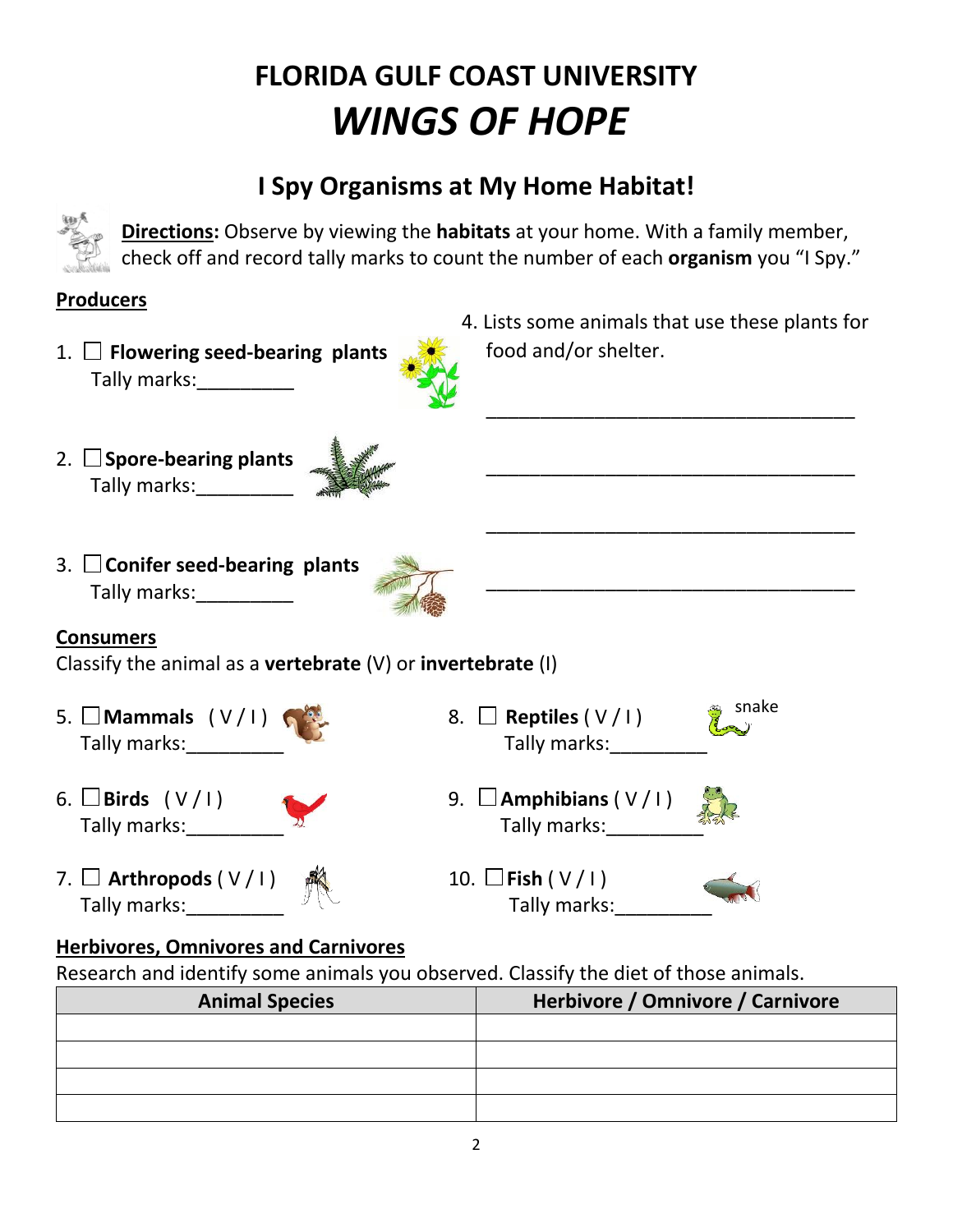# **I Spy Organisms at My Home Habitat!**



**Directions:** Observe by viewing the **habitats** at your home. With a family member, check off and record tally marks to count the number of each **organism** you "I Spy."

## **Producers**

- 1. **Flowering seed-bearing plants** Tally marks:\_\_\_\_\_\_\_\_\_
- 2. **Spore-bearing plants** Tally marks:\_\_\_\_\_\_\_\_\_



3. **Conifer seed-bearing plants** Tally marks:\_\_\_\_\_\_\_\_\_



## **Consumers**

Classify the animal as a **vertebrate** (V) or **invertebrate** (I)

- 5.  $\Box$  Mammals  $(V/I)$   $\qquad \qquad$  8.  $\Box$  Reptiles  $(V/I)$ Tally marks: Tally marks:
- 6. **Birds**  $(V/I)$  9. **Amphibians**  $(V/I)$
- 7. **Arthropods** ( V / I ) 10. **Fish** ( V / I ) Tally marks:\_\_\_\_\_\_\_\_\_\_\_\_  $\frac{y}{y}$   $\setminus$   $\setminus$   $\blacksquare$  Tally marks:\_\_\_\_\_\_\_\_\_\_\_\_\_
- snake Tally marks: Tally marks: Tally marks:
	-

## **Herbivores, Omnivores and Carnivores**

Research and identify some animals you observed. Classify the diet of those animals.

| <b>Animal Species</b> | Herbivore / Omnivore / Carnivore |
|-----------------------|----------------------------------|
|                       |                                  |
|                       |                                  |
|                       |                                  |
|                       |                                  |

4. Lists some animals that use these plants for food and/or shelter.

\_\_\_\_\_\_\_\_\_\_\_\_\_\_\_\_\_\_\_\_\_\_\_\_\_\_\_\_\_\_\_\_\_\_

\_\_\_\_\_\_\_\_\_\_\_\_\_\_\_\_\_\_\_\_\_\_\_\_\_\_\_\_\_\_\_\_\_\_

 $\overline{\phantom{a}}$  , and the contract of the contract of the contract of the contract of the contract of the contract of the contract of the contract of the contract of the contract of the contract of the contract of the contrac

 $\overline{\phantom{a}}$  , and the set of the set of the set of the set of the set of the set of the set of the set of the set of the set of the set of the set of the set of the set of the set of the set of the set of the set of the s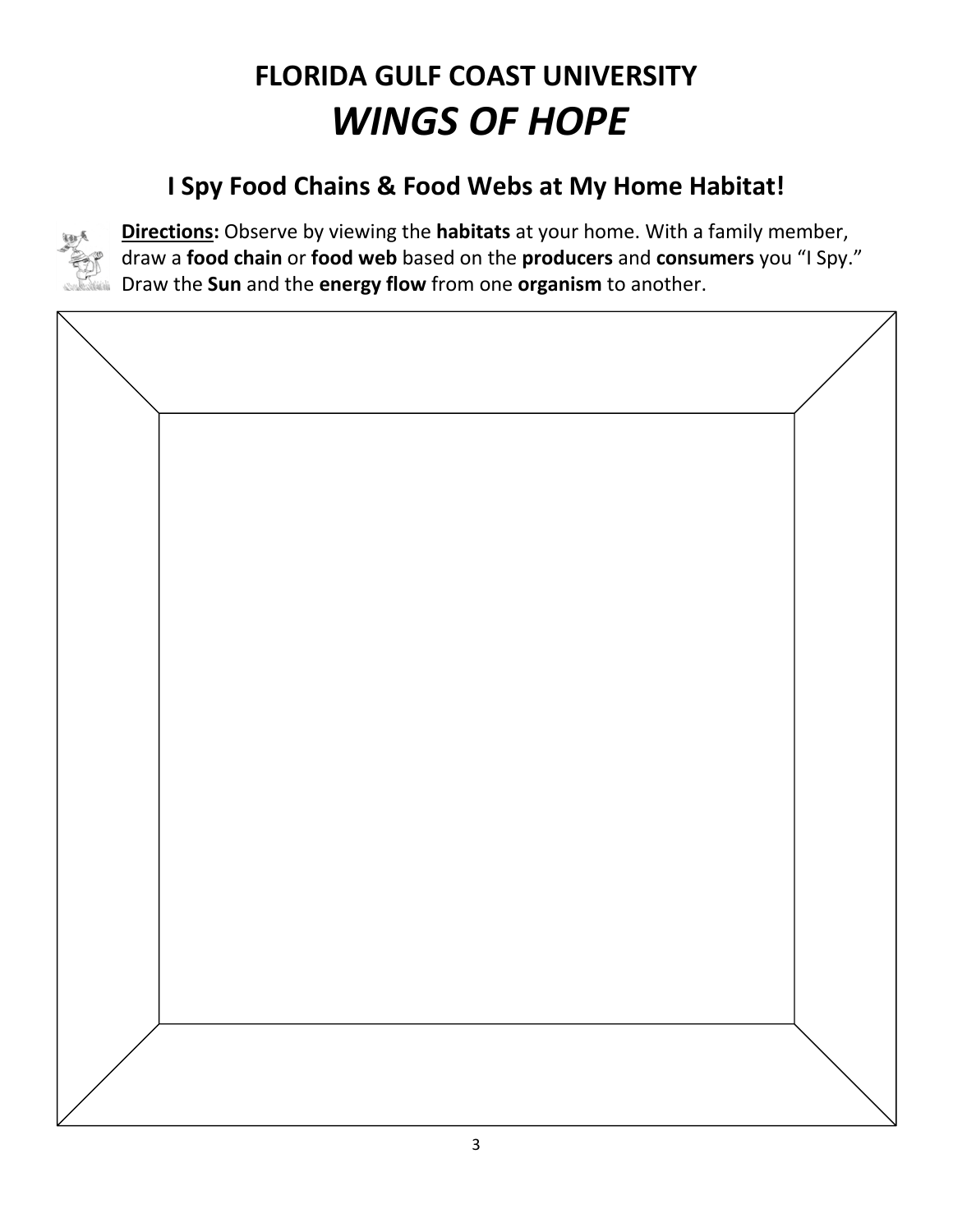# **I Spy Food Chains & Food Webs at My Home Habitat!**



**Directions:** Observe by viewing the **habitats** at your home. With a family member, draw a **food chain** or **food web** based on the **producers** and **consumers** you "I Spy." Draw the **Sun** and the **energy flow** from one **organism** to another.

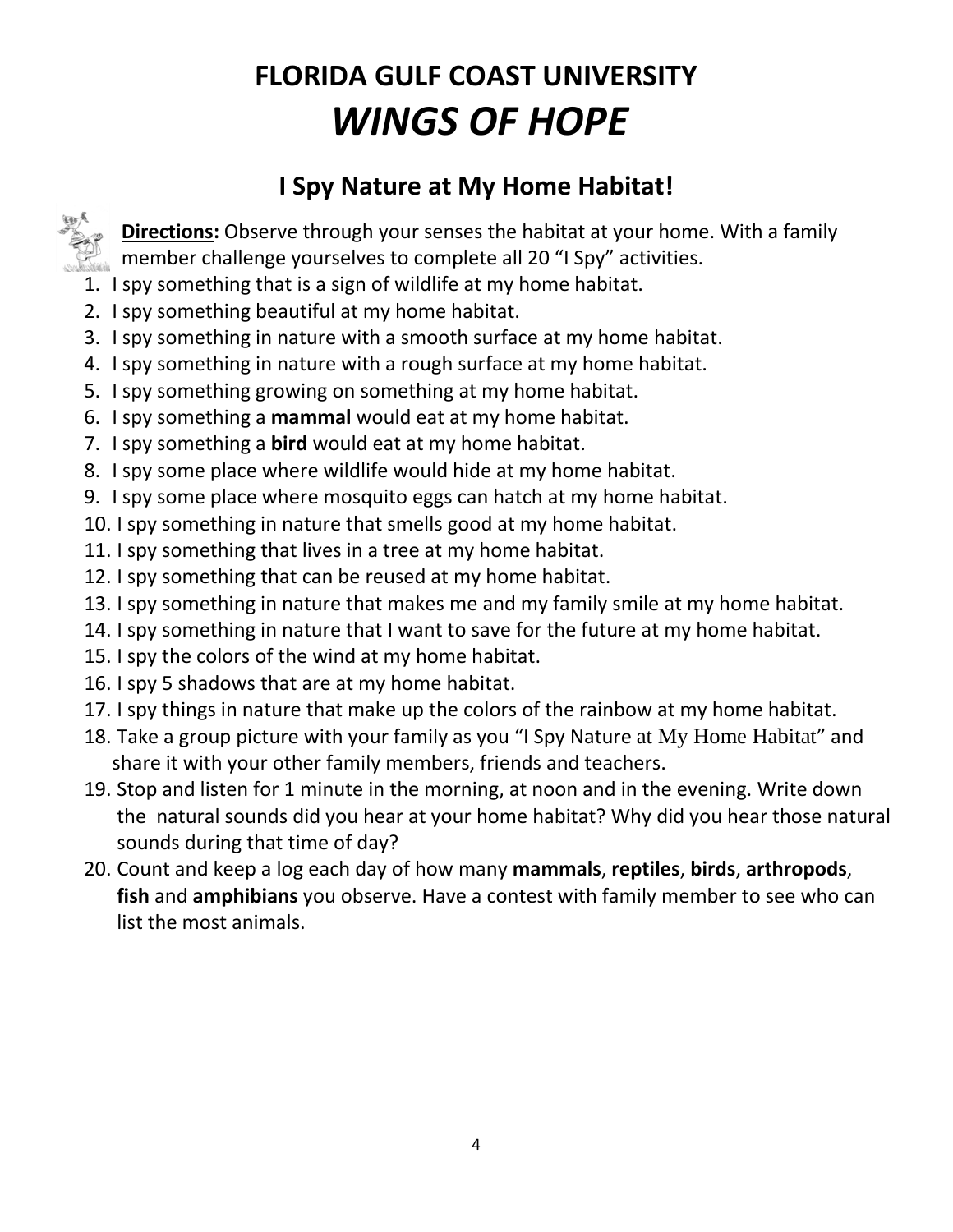# **I Spy Nature at My Home Habitat!**

**Directions:** Observe through your senses the habitat at your home. With a family  $\mathbb{R}^n$  member challenge yourselves to complete all 20 "I Spy" activities.

- 1. I spy something that is a sign of wildlife at my home habitat.
- 2. I spy something beautiful at my home habitat.
- 3. I spy something in nature with a smooth surface at my home habitat.
- 4. I spy something in nature with a rough surface at my home habitat.
- 5. I spy something growing on something at my home habitat.
- 6. I spy something a **mammal** would eat at my home habitat.
- 7. I spy something a **bird** would eat at my home habitat.
- 8. I spy some place where wildlife would hide at my home habitat.
- 9. I spy some place where mosquito eggs can hatch at my home habitat.
- 10. I spy something in nature that smells good at my home habitat.
- 11. I spy something that lives in a tree at my home habitat.
- 12. I spy something that can be reused at my home habitat.
- 13. I spy something in nature that makes me and my family smile at my home habitat.
- 14. I spy something in nature that I want to save for the future at my home habitat.
- 15. I spy the colors of the wind at my home habitat.
- 16. I spy 5 shadows that are at my home habitat.
- 17. I spy things in nature that make up the colors of the rainbow at my home habitat.
- 18. Take a group picture with your family as you "I Spy Nature at My Home Habitat" and share it with your other family members, friends and teachers.
- 19. Stop and listen for 1 minute in the morning, at noon and in the evening. Write down the natural sounds did you hear at your home habitat? Why did you hear those natural sounds during that time of day?
- 20. Count and keep a log each day of how many **mammals**, **reptiles**, **birds**, **arthropods**, **fish** and **amphibians** you observe. Have a contest with family member to see who can list the most animals.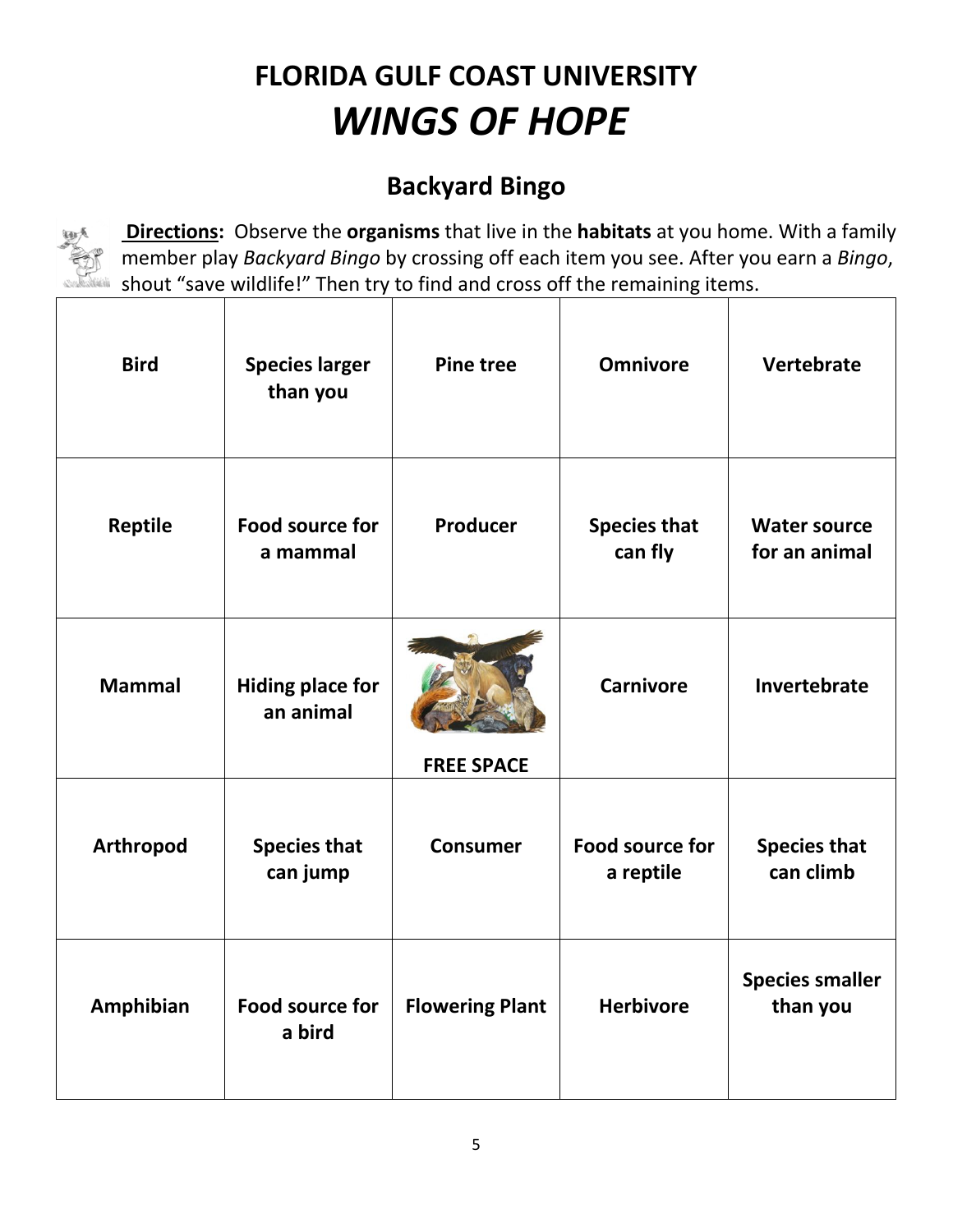# **Backyard Bingo**



**Directions:** Observe the **organisms** that live in the **habitats** at you home. With a family member play *Backyard Bingo* by crossing off each item you see. After you earn a *Bingo*, shout "save wildlife!" Then try to find and cross off the remaining items.

| <b>Bird</b>   | <b>Species larger</b><br>than you    | <b>Pine tree</b>       | <b>Omnivore</b>                | Vertebrate                           |
|---------------|--------------------------------------|------------------------|--------------------------------|--------------------------------------|
| Reptile       | Food source for<br>a mammal          | Producer               | <b>Species that</b><br>can fly | <b>Water source</b><br>for an animal |
| <b>Mammal</b> | <b>Hiding place for</b><br>an animal | <b>FREE SPACE</b>      | <b>Carnivore</b>               | Invertebrate                         |
| Arthropod     | <b>Species that</b><br>can jump      | <b>Consumer</b>        | Food source for<br>a reptile   | <b>Species that</b><br>can climb     |
| Amphibian     | Food source for<br>a bird            | <b>Flowering Plant</b> | <b>Herbivore</b>               | <b>Species smaller</b><br>than you   |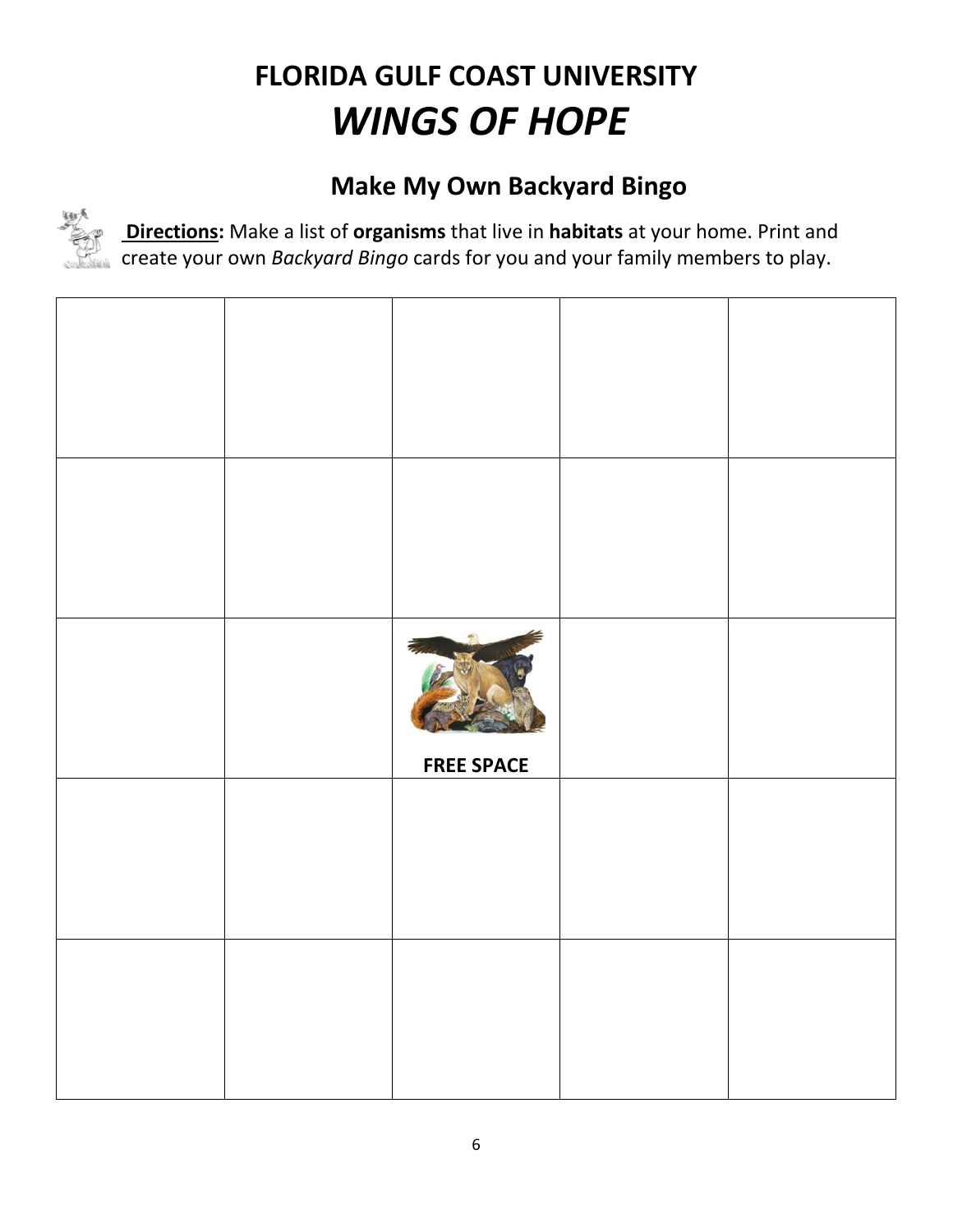# **Make My Own Backyard Bingo**



**Directions:** Make a list of **organisms** that live in **habitats** at your home. Print and create your own *Backyard Bingo* cards for you and your family members to play.

|  | <b>FREE SPACE</b> |  |
|--|-------------------|--|
|  |                   |  |
|  |                   |  |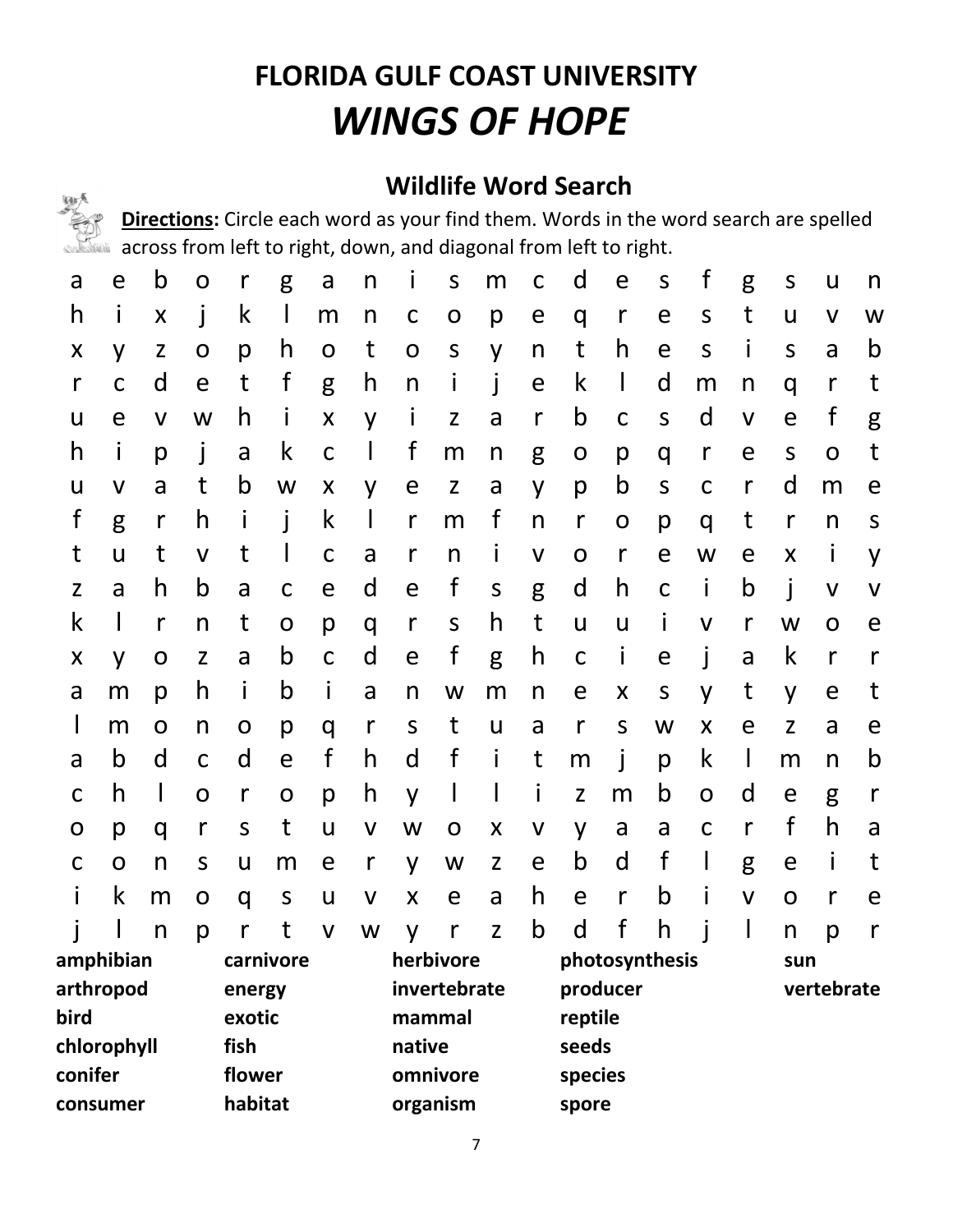# **Wildlife Word Search**

**Directions:** Circle each word as your find them. Words in the word search are spelled across from left to right, down, and diagonal from left to right.

| a                      | e                 | b                  | O            | r            | g           | a            | n            | $\mathbf{I}$       | $\sf S$      | m            | C                  | d            | e            | S            | f            | g            | S                | U            | n            |
|------------------------|-------------------|--------------------|--------------|--------------|-------------|--------------|--------------|--------------------|--------------|--------------|--------------------|--------------|--------------|--------------|--------------|--------------|------------------|--------------|--------------|
| h                      | Ť                 | $\pmb{\mathsf{X}}$ |              | k            |             | m            | n            | $\mathsf C$        | $\mathbf O$  | p            | e                  | q            | $\mathsf{r}$ | e            | $\mathsf S$  | t            | $\mathsf{u}$     | $\mathsf{V}$ | W            |
| X                      | y                 | Z                  | O            | р            | h           | $\mathbf O$  | t            | $\mathbf O$        | $\mathsf S$  | y            | n                  | t            | h            | e            | $\mathsf S$  | Ť            | $\mathsf S$      | a            | $\mathsf b$  |
| r                      | C                 | d                  | e            | t            | f           | g            | h            | n                  | T            |              | e                  | k            | L            | d            | m            | n            | q                | r            | t            |
| U                      | e                 | $\mathsf{V}$       | W            | h            | Ť           | X            | y            | İ.                 | $\mathsf{Z}$ | a            | $\mathsf r$        | b            | $\mathsf{C}$ | S            | d            | $\mathsf{V}$ | e                | f            | g            |
| h                      | Ť                 | p                  |              | a            | $\mathsf k$ | $\mathsf C$  | $\mathsf{l}$ | f                  | m            | n            | g                  | $\mathbf O$  | p            | q            | $\mathsf{r}$ | e            | $\mathsf S$      | $\mathbf O$  | t            |
| U                      | $\mathsf{V}$      | a                  | t            | $\mathsf b$  | W           | X            | y            | e                  | $\mathsf{Z}$ | a            | y                  | p            | b            | $\sf S$      | $\mathsf C$  | $\mathsf{r}$ | d                | m            | e            |
| f                      | g                 | r                  | h            | İ            | j           | $\mathsf k$  | $\mathsf{l}$ | r                  | m            | f            | n                  | $\mathsf{r}$ | O            | p            | q            | t            | r                | n            | $\sf S$      |
| t                      | U                 | t                  | V            | t            |             | $\mathsf C$  | a            | r                  | n            | $\mathbf{I}$ | $\pmb{\mathsf{V}}$ | O            | r            | e            | W            | e            | $\boldsymbol{X}$ | Ť            | y            |
| Z                      | a                 | h                  | b            | a            | C           | e            | d            | e                  | f            | $\sf S$      | g                  | d            | h            | $\mathsf{C}$ | j.           | b            | İ                | $\mathsf{V}$ | $\mathsf{V}$ |
| $\mathsf k$            |                   | $\mathsf{r}$       | n            | t            | $\mathbf O$ | p            | q            | $\mathsf r$        | $\sf S$      | h            | t                  | U            | U            | Ť            | V            | r            | W                | O            | e            |
| X                      | y                 | O                  | Z            | a            | b           | $\mathsf C$  | d            | e                  | $\mathsf f$  | g            | h                  | $\mathsf{C}$ | i            | e            | j            | a            | k                | $\mathsf{r}$ | $\mathsf{r}$ |
| a                      | m                 | p                  | h            | $\mathbf{I}$ | b           | Ť            | a            | n                  | W            | m            | n                  | e            | X            | $\sf S$      | y            | t            | y                | e            | t            |
| I                      | m                 | $\mathbf O$        | n            | $\mathbf O$  | p           | q            | $\mathsf{r}$ | $\sf S$            | t            | U            | a                  | $\mathsf r$  | $\mathsf S$  | W            | X            | e            | Z                | a            | e            |
| a                      | $\mathsf b$       | d                  | $\mathsf{C}$ | d            | e           | $\mathsf f$  | h            | d                  | f            | Ť            | t                  | m            | İ            | p            | $\mathsf k$  | $\mathsf{I}$ | m                | n            | b            |
| $\mathsf C$            | h                 | I                  | O            | r            | O           | p            | h            | y                  | L            |              | i                  | $\mathsf{Z}$ | m            | b            | O            | d            | e                | g            | r            |
| $\mathbf O$            | p                 | q                  | $\mathsf{r}$ | S            | t           | U            | V            | W                  | O            | X            | $\mathsf{V}$       | y            | a            | a            | $\mathsf C$  | $\mathsf{r}$ | f                | h            | a            |
| $\mathsf C$            | O                 | n                  | $\mathsf S$  | u            | m           | e            | $\mathsf{r}$ | y                  | W            | $\mathsf{Z}$ | e                  | $\mathsf b$  | d            | f            | $\mathsf{I}$ | g            | e                | i            | t            |
| i                      | $\mathsf k$       | m                  | O            | q            | $\sf S$     | U            | $\mathsf{V}$ | $\pmb{\mathsf{X}}$ | e            | a            | h                  | e            | $\mathsf r$  | b            | i            | $\mathsf{V}$ | $\mathbf O$      | $\mathsf{r}$ | e            |
|                        |                   | $\mathsf{n}$       | p            | r            | t           | $\mathsf{V}$ | W            | y                  | r            | $\mathsf{Z}$ | $\mathsf b$        | d            | f            | h            |              | $\mathsf{l}$ | n                | p            | $\mathsf{r}$ |
| amphibian<br>carnivore |                   |                    |              | herbivore    |             |              |              | photosynthesis     |              |              |                    |              | sun          |              |              |              |                  |              |              |
| arthropod              |                   |                    | energy       |              |             |              |              | invertebrate       |              |              |                    | producer     |              |              |              |              | vertebrate       |              |              |
| bird<br>exotic         |                   |                    |              | mammal       |             |              |              | reptile            |              |              |                    |              |              |              |              |              |                  |              |              |
|                        | chlorophyll       |                    |              | fish         |             |              |              | native             |              |              |                    | seeds        |              |              |              |              |                  |              |              |
|                        | conifer<br>flower |                    |              |              |             | omnivore     |              |                    |              |              | species            |              |              |              |              |              |                  |              |              |
|                        | consumer          |                    |              | habitat      |             |              |              | organism           |              |              |                    | spore        |              |              |              |              |                  |              |              |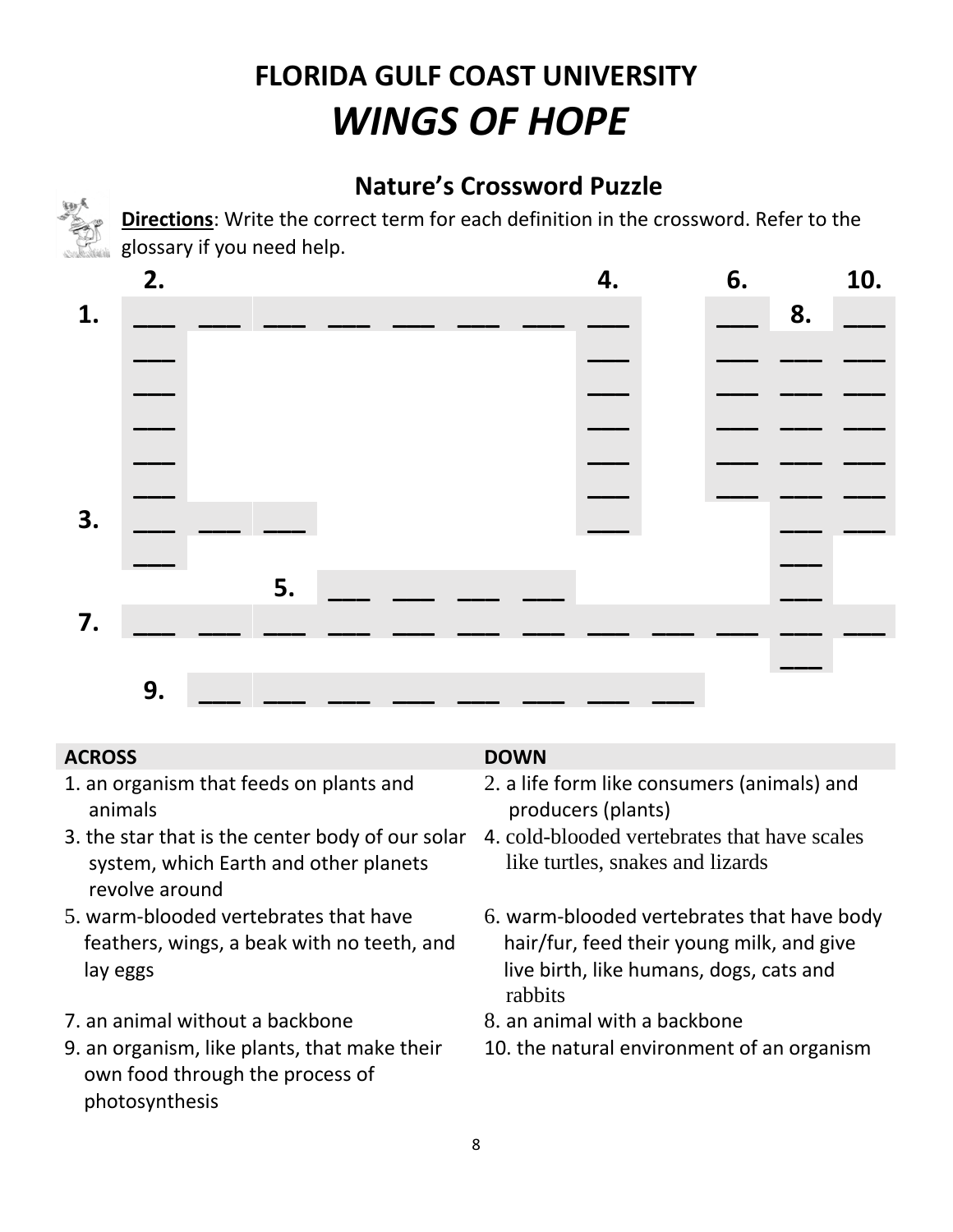# **Nature's Crossword Puzzle**





## **ACROSS DOWN**

- 1. an organism that feeds on plants and animals
- 3. the star that is the center body of our solar system, which Earth and other planets revolve around
- 5. warm-blooded vertebrates that have feathers, wings, a beak with no teeth, and lay eggs
- 7. an animal without a backbone 8. an animal with a backbone
- 9. an organism, like plants, that make their own food through the process of photosynthesis

- 2. a life form like consumers (animals) and producers (plants)
- 4. cold-blooded vertebrates that have scales like turtles, snakes and lizards
- 6. warm-blooded vertebrates that have body hair/fur, feed their young milk, and give live birth, like humans, dogs, cats and rabbits
- 
- 10. the natural environment of an organism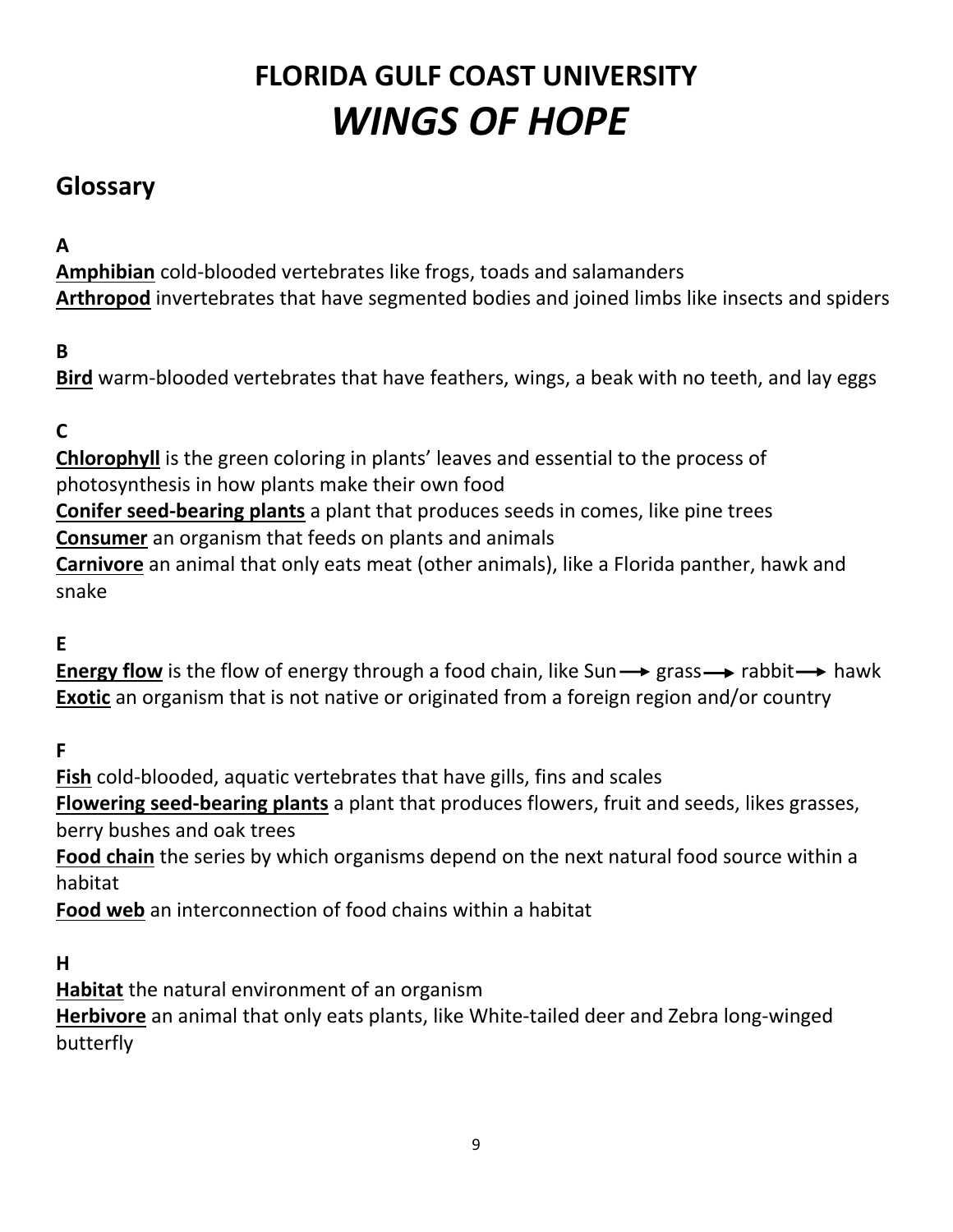# **Glossary**

## **A**

**Amphibian** cold-blooded vertebrates like frogs, toads and salamanders **Arthropod** invertebrates that have segmented bodies and joined limbs like insects and spiders

## **B**

**Bird** warm-blooded vertebrates that have feathers, wings, a beak with no teeth, and lay eggs

## **C**

**Chlorophyll** is the green coloring in plants' leaves and essential to the process of photosynthesis in how plants make their own food **Conifer seed-bearing plants** a plant that produces seeds in comes, like pine trees **Consumer** an organism that feeds on plants and animals **Carnivore** an animal that only eats meat (other animals), like a Florida panther, hawk and

## snake

## **E**

**Energy flow** is the flow of energy through a food chain, like Sun  $\rightarrow$  grass  $\rightarrow$  rabbit  $\rightarrow$  hawk **Exotic** an organism that is not native or originated from a foreign region and/or country

#### **F**

**Fish** cold-blooded, aquatic vertebrates that have gills, fins and scales **Flowering seed-bearing plants** a plant that produces flowers, fruit and seeds, likes grasses, berry bushes and oak trees

**Food chain** the series by which organisms depend on the next natural food source within a habitat

**Food web** an interconnection of food chains within a habitat

#### **H**

**Habitat** the natural environment of an organism

**Herbivore** an animal that only eats plants, like White-tailed deer and Zebra long-winged butterfly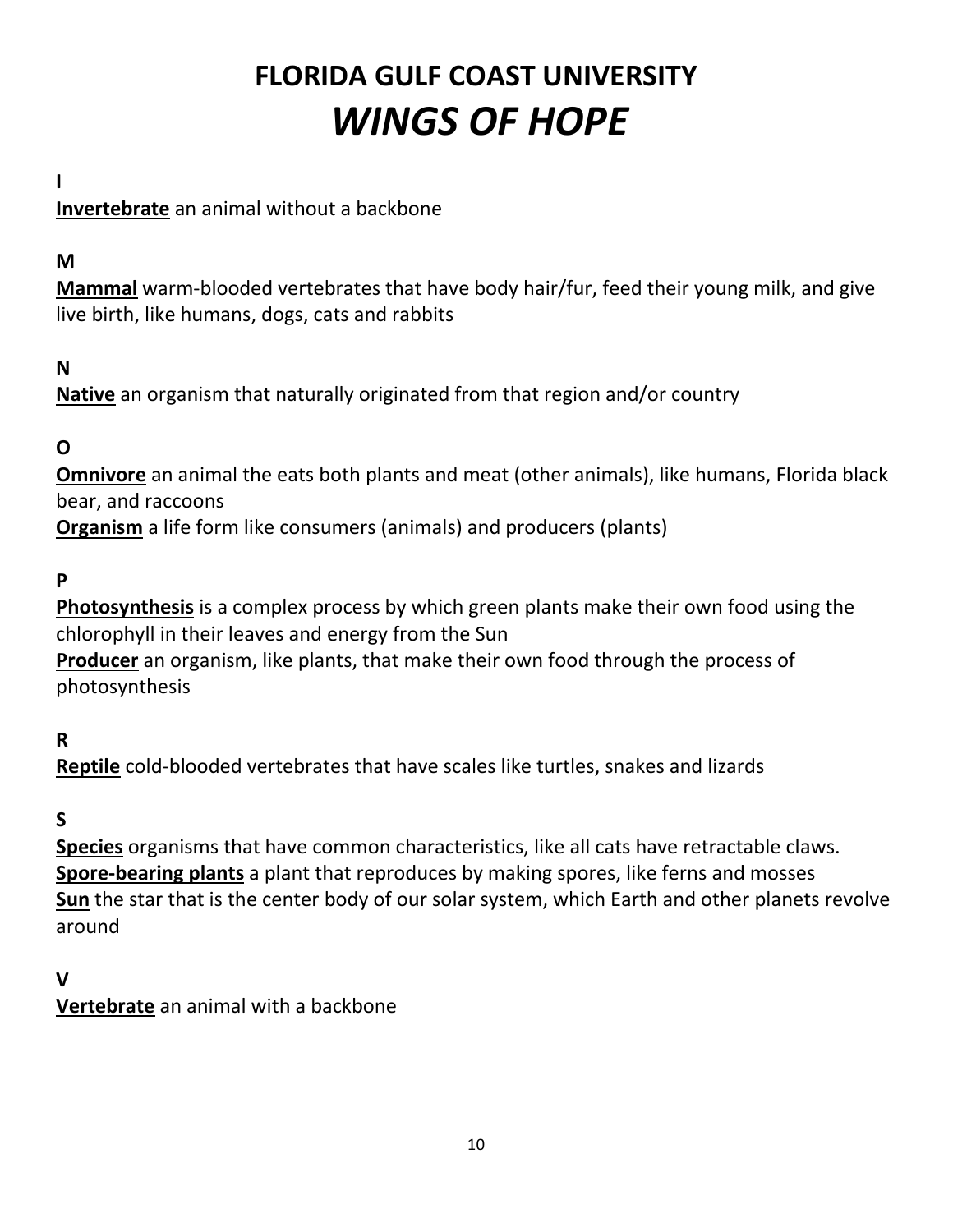#### **I**

**Invertebrate** an animal without a backbone

#### **M**

**Mammal** warm-blooded vertebrates that have body hair/fur, feed their young milk, and give live birth, like humans, dogs, cats and rabbits

#### **N**

**Native** an organism that naturally originated from that region and/or country

## **O**

**Omnivore** an animal the eats both plants and meat (other animals), like humans, Florida black bear, and raccoons

**Organism** a life form like consumers (animals) and producers (plants)

## **P**

**Photosynthesis** is a complex process by which green plants make their own food using the chlorophyll in their leaves and energy from the Sun **Producer** an organism, like plants, that make their own food through the process of photosynthesis

**R**

**Reptile** cold-blooded vertebrates that have scales like turtles, snakes and lizards

#### **S**

**Species** organisms that have common characteristics, like all cats have retractable claws. **Spore-bearing plants** a plant that reproduces by making spores, like ferns and mosses **Sun** the star that is the center body of our solar system, which Earth and other planets revolve around

#### **V**

**Vertebrate** an animal with a backbone